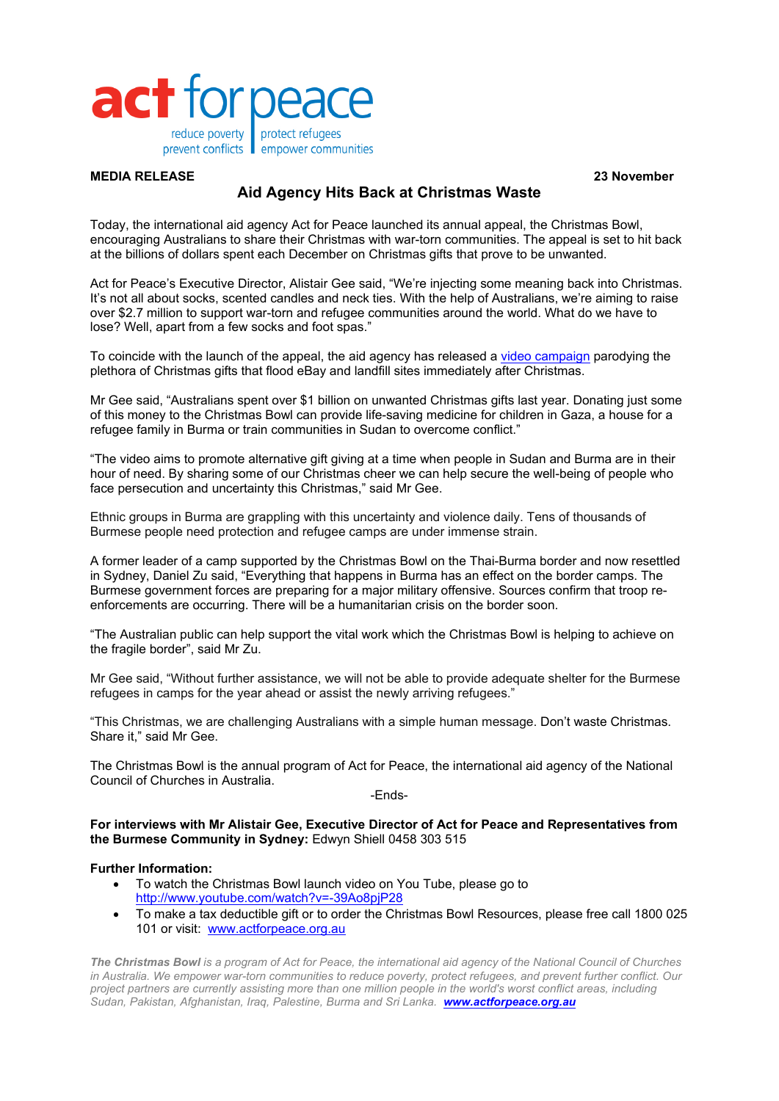

## **MEDIA RELEASE 23 November**

## **Aid Agency Hits Back at Christmas Waste**

Today, the international aid agency Act for Peace launched its annual appeal, the Christmas Bowl, encouraging Australians to share their Christmas with war-torn communities. The appeal is set to hit back at the billions of dollars spent each December on Christmas gifts that prove to be unwanted.

Act for Peace's Executive Director, Alistair Gee said, "We're injecting some meaning back into Christmas. It's not all about socks, scented candles and neck ties. With the help of Australians, we're aiming to raise over \$2.7 million to support war-torn and refugee communities around the world. What do we have to lose? Well, apart from a few socks and foot spas."

To coincide with the launch of the appeal, the aid agency has released a video campaign parodying the plethora of Christmas gifts that flood eBay and landfill sites immediately after Christmas.

Mr Gee said, "Australians spent over \$1 billion on unwanted Christmas gifts last year. Donating just some of this money to the Christmas Bowl can provide life-saving medicine for children in Gaza, a house for a refugee family in Burma or train communities in Sudan to overcome conflict."

"The video aims to promote alternative gift giving at a time when people in Sudan and Burma are in their hour of need. By sharing some of our Christmas cheer we can help secure the well-being of people who face persecution and uncertainty this Christmas," said Mr Gee.

Ethnic groups in Burma are grappling with this uncertainty and violence daily. Tens of thousands of Burmese people need protection and refugee camps are under immense strain.

A former leader of a camp supported by the Christmas Bowl on the Thai-Burma border and now resettled in Sydney, Daniel Zu said, "Everything that happens in Burma has an effect on the border camps. The Burmese government forces are preparing for a major military offensive. Sources confirm that troop reenforcements are occurring. There will be a humanitarian crisis on the border soon.

"The Australian public can help support the vital work which the Christmas Bowl is helping to achieve on the fragile border", said Mr Zu.

Mr Gee said, "Without further assistance, we will not be able to provide adequate shelter for the Burmese refugees in camps for the year ahead or assist the newly arriving refugees."

"This Christmas, we are challenging Australians with a simple human message. Don't waste Christmas. Share it," said Mr Gee.

The Christmas Bowl is the annual program of Act for Peace, the international aid agency of the National Council of Churches in Australia.

-Ends-

**For interviews with Mr Alistair Gee, Executive Director of Act for Peace and Representatives from the Burmese Community in Sydney:** Edwyn Shiell 0458 303 515

## **Further Information:**

- To watch the Christmas Bowl launch video on You Tube, please go to http://www.youtube.com/watch?v=-39Ao8pjP28
- To make a tax deductible gift or to order the Christmas Bowl Resources, please free call 1800 025 101 or visit: www.actforpeace.org.au

*The Christmas Bowl is a program of Act for Peace, the international aid agency of the National Council of Churches in Australia. We empower war-torn communities to reduce poverty, protect refugees, and prevent further conflict. Our project partners are currently assisting more than one million people in the world's worst conflict areas, including Sudan, Pakistan, Afghanistan, Iraq, Palestine, Burma and Sri Lanka. www.actforpeace.org.au*